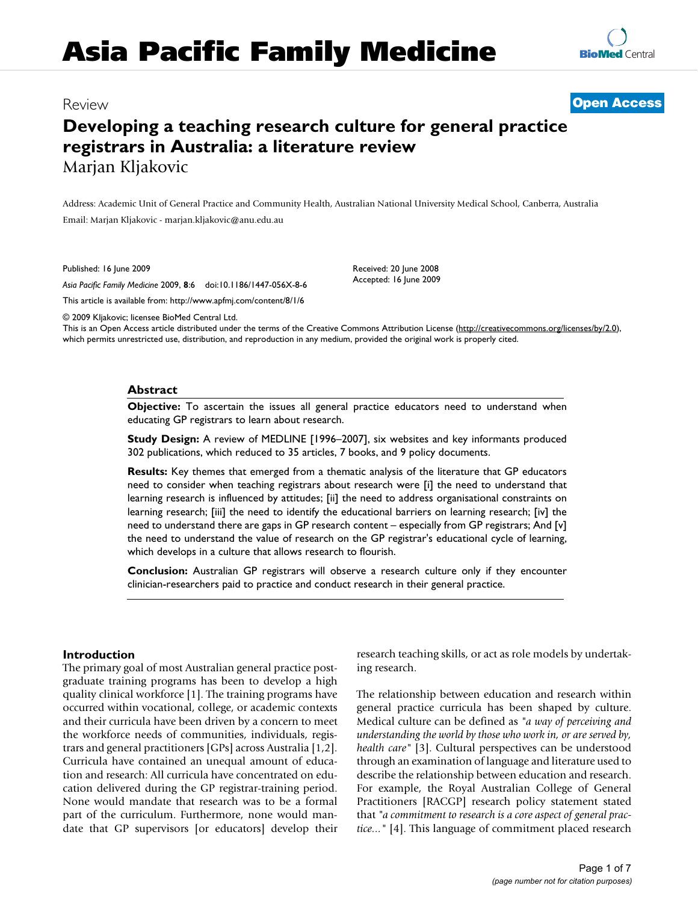# **Asia Pacific Family Medicine**

**[BioMed](http://www.biomedcentral.com/)** Central

## **Developing a teaching research culture for general practice registrars in Australia: a literature review** Marjan Kljakovic

Address: Academic Unit of General Practice and Community Health, Australian National University Medical School, Canberra, Australia Email: Marjan Kljakovic - marjan.kljakovic@anu.edu.au

Published: 16 June 2009

*Asia Pacific Family Medicine* 2009, **8**:6 doi:10.1186/1447-056X-8-6

[This article is available from: http://www.apfmj.com/content/8/1/6](http://www.apfmj.com/content/8/1/6)

© 2009 Kljakovic; licensee BioMed Central Ltd.

This is an Open Access article distributed under the terms of the Creative Commons Attribution License [\(http://creativecommons.org/licenses/by/2.0\)](http://creativecommons.org/licenses/by/2.0), which permits unrestricted use, distribution, and reproduction in any medium, provided the original work is properly cited.

Received: 20 June 2008 Accepted: 16 June 2009

#### **Abstract**

**Objective:** To ascertain the issues all general practice educators need to understand when educating GP registrars to learn about research.

**Study Design:** A review of MEDLINE [1996–2007], six websites and key informants produced 302 publications, which reduced to 35 articles, 7 books, and 9 policy documents.

**Results:** Key themes that emerged from a thematic analysis of the literature that GP educators need to consider when teaching registrars about research were [i] the need to understand that learning research is influenced by attitudes; [ii] the need to address organisational constraints on learning research; [iii] the need to identify the educational barriers on learning research; [iv] the need to understand there are gaps in GP research content – especially from GP registrars; And [v] the need to understand the value of research on the GP registrar's educational cycle of learning, which develops in a culture that allows research to flourish.

**Conclusion:** Australian GP registrars will observe a research culture only if they encounter clinician-researchers paid to practice and conduct research in their general practice.

#### **Introduction**

The primary goal of most Australian general practice postgraduate training programs has been to develop a high quality clinical workforce [1]. The training programs have occurred within vocational, college, or academic contexts and their curricula have been driven by a concern to meet the workforce needs of communities, individuals, registrars and general practitioners [GPs] across Australia [1,2]. Curricula have contained an unequal amount of education and research: All curricula have concentrated on education delivered during the GP registrar-training period. None would mandate that research was to be a formal part of the curriculum. Furthermore, none would mandate that GP supervisors [or educators] develop their research teaching skills, or act as role models by undertaking research.

The relationship between education and research within general practice curricula has been shaped by culture. Medical culture can be defined as *"a way of perceiving and understanding the world by those who work in, or are served by, health care"* [3]. Cultural perspectives can be understood through an examination of language and literature used to describe the relationship between education and research. For example, the Royal Australian College of General Practitioners [RACGP] research policy statement stated that *"a commitment to research is a core aspect of general practice..."* [4]. This language of commitment placed research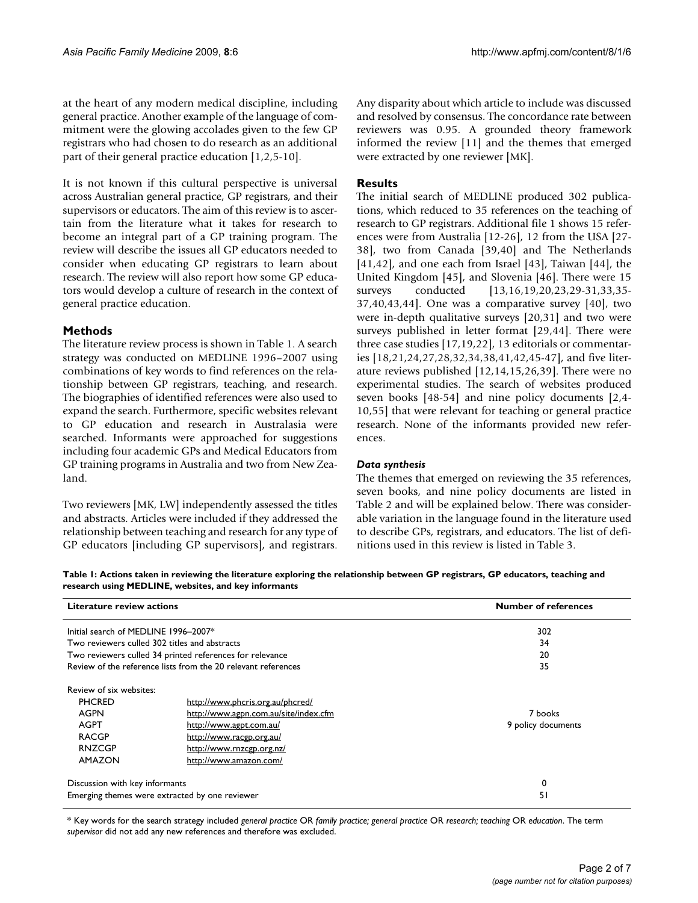at the heart of any modern medical discipline, including general practice. Another example of the language of commitment were the glowing accolades given to the few GP registrars who had chosen to do research as an additional part of their general practice education [1,2,5-10].

It is not known if this cultural perspective is universal across Australian general practice, GP registrars, and their supervisors or educators. The aim of this review is to ascertain from the literature what it takes for research to become an integral part of a GP training program. The review will describe the issues all GP educators needed to consider when educating GP registrars to learn about research. The review will also report how some GP educators would develop a culture of research in the context of general practice education.

#### **Methods**

The literature review process is shown in Table 1. A search strategy was conducted on MEDLINE 1996–2007 using combinations of key words to find references on the relationship between GP registrars, teaching, and research. The biographies of identified references were also used to expand the search. Furthermore, specific websites relevant to GP education and research in Australasia were searched. Informants were approached for suggestions including four academic GPs and Medical Educators from GP training programs in Australia and two from New Zealand.

Two reviewers [MK, LW] independently assessed the titles and abstracts. Articles were included if they addressed the relationship between teaching and research for any type of GP educators [including GP supervisors], and registrars.

Any disparity about which article to include was discussed and resolved by consensus. The concordance rate between reviewers was 0.95. A grounded theory framework informed the review [11] and the themes that emerged were extracted by one reviewer [MK].

#### **Results**

The initial search of MEDLINE produced 302 publications, which reduced to 35 references on the teaching of research to GP registrars. Additional file 1 shows 15 references were from Australia [12-26], 12 from the USA [27- 38], two from Canada [39,40] and The Netherlands  $[41, 42]$ , and one each from Israel  $[43]$ , Taiwan  $[44]$ , the United Kingdom [45], and Slovenia [46]. There were 15 surveys conducted [13,16,19,20,23,29-31,33,35-37,40,43,44]. One was a comparative survey [40], two were in-depth qualitative surveys [20,31] and two were surveys published in letter format [29,44]. There were three case studies [17,19,22], 13 editorials or commentaries [18,21,24,27,28,32,34,38,41,42,45-47], and five literature reviews published [12,14,15,26,39]. There were no experimental studies. The search of websites produced seven books [48-54] and nine policy documents [2,4- 10,55] that were relevant for teaching or general practice research. None of the informants provided new references.

#### *Data synthesis*

The themes that emerged on reviewing the 35 references, seven books, and nine policy documents are listed in Table 2 and will be explained below. There was considerable variation in the language found in the literature used to describe GPs, registrars, and educators. The list of definitions used in this review is listed in Table 3.

**Table 1: Actions taken in reviewing the literature exploring the relationship between GP registrars, GP educators, teaching and research using MEDLINE, websites, and key informants**

| Literature review actions<br>Initial search of MEDLINE 1996-2007* |                                                          | <b>Number of references</b> |  |
|-------------------------------------------------------------------|----------------------------------------------------------|-----------------------------|--|
|                                                                   |                                                          | 302                         |  |
|                                                                   | Two reviewers culled 302 titles and abstracts            | 34                          |  |
|                                                                   | Two reviewers culled 34 printed references for relevance | 20                          |  |
| Review of the reference lists from the 20 relevant references     |                                                          | 35                          |  |
| Review of six websites:                                           |                                                          |                             |  |
| <b>PHCRED</b>                                                     | http://www.phcris.org.au/phcred/                         |                             |  |
| AGPN                                                              | http://www.agpn.com.au/site/index.cfm                    | 7 books                     |  |
| AGPT                                                              | http://www.agpt.com.au/                                  | 9 policy documents          |  |
| <b>RACGP</b>                                                      | http://www.racgp.org.au/                                 |                             |  |
| <b>RNZCGP</b>                                                     | http://www.rnzcgp.org.nz/                                |                             |  |
| <b>AMAZON</b>                                                     | http://www.amazon.com/                                   |                             |  |
| Discussion with key informants                                    |                                                          | 0                           |  |
|                                                                   | Emerging themes were extracted by one reviewer           | 51                          |  |

\* Key words for the search strategy included *general practice* OR *family practice; general practice* OR *research; teaching* OR *education*. The term *supervisor* did not add any new references and therefore was excluded.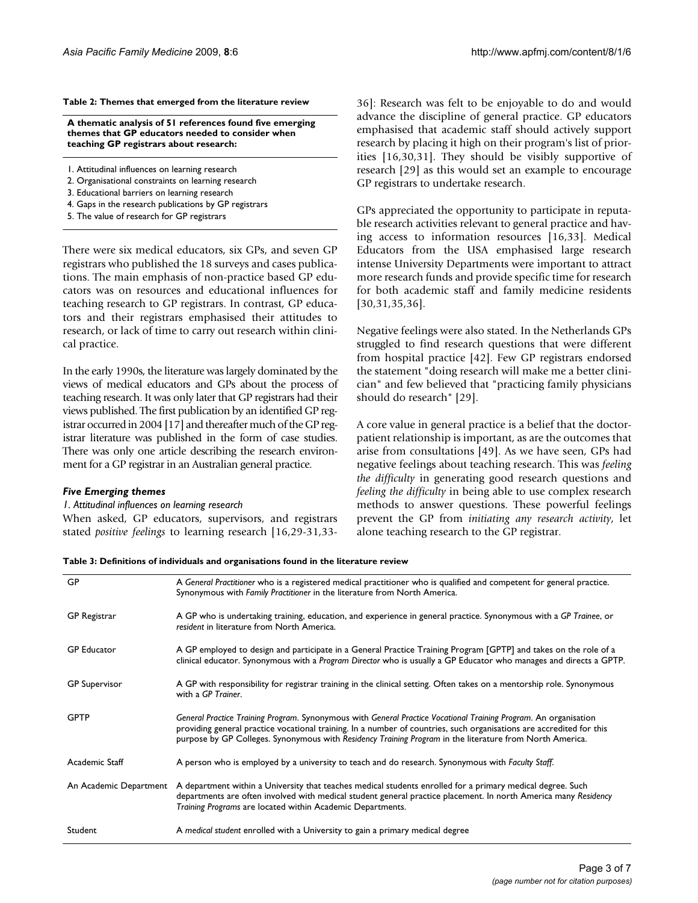#### **Table 2: Themes that emerged from the literature review**

**A thematic analysis of 51 references found five emerging themes that GP educators needed to consider when teaching GP registrars about research:**

- 1. Attitudinal influences on learning research
- 2. Organisational constraints on learning research
- 3. Educational barriers on learning research
- 4. Gaps in the research publications by GP registrars
- 5. The value of research for GP registrars

There were six medical educators, six GPs, and seven GP registrars who published the 18 surveys and cases publications. The main emphasis of non-practice based GP educators was on resources and educational influences for teaching research to GP registrars. In contrast, GP educators and their registrars emphasised their attitudes to research, or lack of time to carry out research within clinical practice.

In the early 1990s, the literature was largely dominated by the views of medical educators and GPs about the process of teaching research. It was only later that GP registrars had their views published. The first publication by an identified GP registrar occurred in 2004 [17] and thereafter much of the GP registrar literature was published in the form of case studies. There was only one article describing the research environment for a GP registrar in an Australian general practice.

#### *Five Emerging themes*

*1. Attitudinal influences on learning research* When asked, GP educators, supervisors, and registrars stated *positive feelings* to learning research [16,29-31,3336]: Research was felt to be enjoyable to do and would advance the discipline of general practice. GP educators emphasised that academic staff should actively support research by placing it high on their program's list of priorities [16,30,31]. They should be visibly supportive of research [29] as this would set an example to encourage GP registrars to undertake research.

GPs appreciated the opportunity to participate in reputable research activities relevant to general practice and having access to information resources [16,33]. Medical Educators from the USA emphasised large research intense University Departments were important to attract more research funds and provide specific time for research for both academic staff and family medicine residents [30,31,35,36].

Negative feelings were also stated. In the Netherlands GPs struggled to find research questions that were different from hospital practice [42]. Few GP registrars endorsed the statement "doing research will make me a better clinician" and few believed that "practicing family physicians should do research" [29].

A core value in general practice is a belief that the doctorpatient relationship is important, as are the outcomes that arise from consultations [49]. As we have seen, GPs had negative feelings about teaching research. This was *feeling the difficulty* in generating good research questions and *feeling the difficulty* in being able to use complex research methods to answer questions. These powerful feelings prevent the GP from *initiating any research activity*, let alone teaching research to the GP registrar.

| GP                     | A General Practitioner who is a registered medical practitioner who is qualified and competent for general practice.<br>Synonymous with Family Practitioner in the literature from North America.                                                                                                                                                    |  |
|------------------------|------------------------------------------------------------------------------------------------------------------------------------------------------------------------------------------------------------------------------------------------------------------------------------------------------------------------------------------------------|--|
| GP Registrar           | A GP who is undertaking training, education, and experience in general practice. Synonymous with a GP Trainee, or<br>resident in literature from North America.                                                                                                                                                                                      |  |
| <b>GP</b> Educator     | A GP employed to design and participate in a General Practice Training Program [GPTP] and takes on the role of a<br>clinical educator. Synonymous with a Program Director who is usually a GP Educator who manages and directs a GPTP.                                                                                                               |  |
| <b>GP</b> Supervisor   | A GP with responsibility for registrar training in the clinical setting. Often takes on a mentorship role. Synonymous<br>with a GP Trainer.                                                                                                                                                                                                          |  |
| <b>GPTP</b>            | General Practice Training Program. Synonymous with General Practice Vocational Training Program. An organisation<br>providing general practice vocational training. In a number of countries, such organisations are accredited for this<br>purpose by GP Colleges. Synonymous with Residency Training Program in the literature from North America. |  |
| Academic Staff         | A person who is employed by a university to teach and do research. Synonymous with Faculty Staff.                                                                                                                                                                                                                                                    |  |
| An Academic Department | A department within a University that teaches medical students enrolled for a primary medical degree. Such<br>departments are often involved with medical student general practice placement. In north America many Residency<br>Training Programs are located within Academic Departments.                                                          |  |
| Student                | A medical student enrolled with a University to gain a primary medical degree                                                                                                                                                                                                                                                                        |  |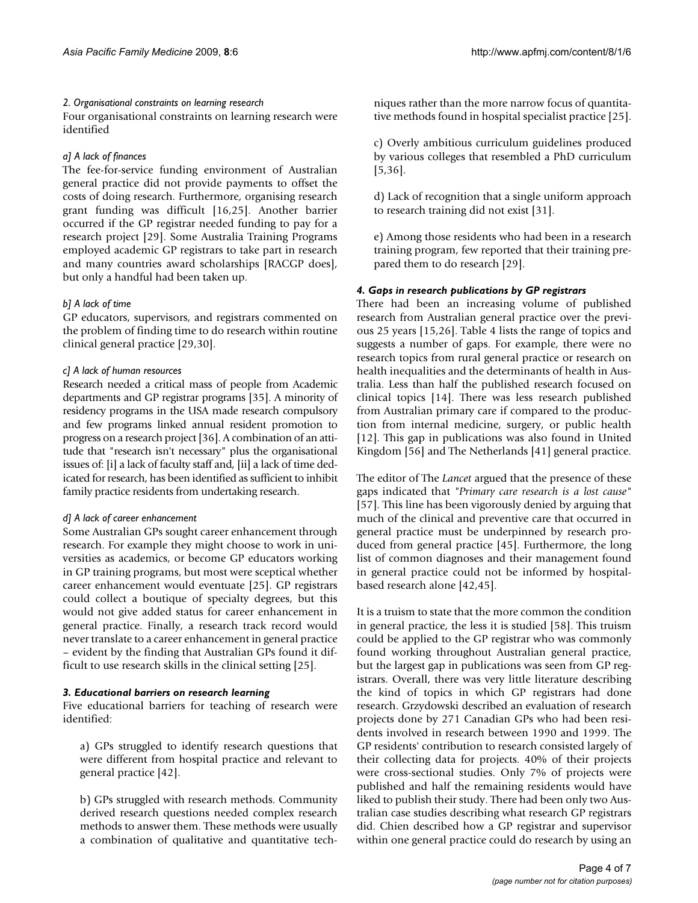#### *2. Organisational constraints on learning research*

Four organisational constraints on learning research were identified

#### *a] A lack of finances*

The fee-for-service funding environment of Australian general practice did not provide payments to offset the costs of doing research. Furthermore, organising research grant funding was difficult [16,25]. Another barrier occurred if the GP registrar needed funding to pay for a research project [29]. Some Australia Training Programs employed academic GP registrars to take part in research and many countries award scholarships [RACGP does], but only a handful had been taken up.

#### *b] A lack of time*

GP educators, supervisors, and registrars commented on the problem of finding time to do research within routine clinical general practice [29,30].

#### *c] A lack of human resources*

Research needed a critical mass of people from Academic departments and GP registrar programs [35]. A minority of residency programs in the USA made research compulsory and few programs linked annual resident promotion to progress on a research project [36]. A combination of an attitude that "research isn't necessary" plus the organisational issues of: [i] a lack of faculty staff and, [ii] a lack of time dedicated for research, has been identified as sufficient to inhibit family practice residents from undertaking research.

#### *d] A lack of career enhancement*

Some Australian GPs sought career enhancement through research. For example they might choose to work in universities as academics, or become GP educators working in GP training programs, but most were sceptical whether career enhancement would eventuate [25]. GP registrars could collect a boutique of specialty degrees, but this would not give added status for career enhancement in general practice. Finally, a research track record would never translate to a career enhancement in general practice – evident by the finding that Australian GPs found it difficult to use research skills in the clinical setting [25].

#### *3. Educational barriers on research learning*

Five educational barriers for teaching of research were identified:

a) GPs struggled to identify research questions that were different from hospital practice and relevant to general practice [42].

b) GPs struggled with research methods. Community derived research questions needed complex research methods to answer them. These methods were usually a combination of qualitative and quantitative techniques rather than the more narrow focus of quantitative methods found in hospital specialist practice [25].

c) Overly ambitious curriculum guidelines produced by various colleges that resembled a PhD curriculum [5,36].

d) Lack of recognition that a single uniform approach to research training did not exist [31].

e) Among those residents who had been in a research training program, few reported that their training prepared them to do research [29].

#### *4. Gaps in research publications by GP registrars*

There had been an increasing volume of published research from Australian general practice over the previous 25 years [15,26]. Table 4 lists the range of topics and suggests a number of gaps. For example, there were no research topics from rural general practice or research on health inequalities and the determinants of health in Australia. Less than half the published research focused on clinical topics [14]. There was less research published from Australian primary care if compared to the production from internal medicine, surgery, or public health [12]. This gap in publications was also found in United Kingdom [56] and The Netherlands [41] general practice.

The editor of The *Lancet* argued that the presence of these gaps indicated that *"Primary care research is a lost cause"* [57]. This line has been vigorously denied by arguing that much of the clinical and preventive care that occurred in general practice must be underpinned by research produced from general practice [45]. Furthermore, the long list of common diagnoses and their management found in general practice could not be informed by hospitalbased research alone [42,45].

It is a truism to state that the more common the condition in general practice, the less it is studied [58]. This truism could be applied to the GP registrar who was commonly found working throughout Australian general practice, but the largest gap in publications was seen from GP registrars. Overall, there was very little literature describing the kind of topics in which GP registrars had done research. Grzydowski described an evaluation of research projects done by 271 Canadian GPs who had been residents involved in research between 1990 and 1999. The GP residents' contribution to research consisted largely of their collecting data for projects. 40% of their projects were cross-sectional studies. Only 7% of projects were published and half the remaining residents would have liked to publish their study. There had been only two Australian case studies describing what research GP registrars did. Chien described how a GP registrar and supervisor within one general practice could do research by using an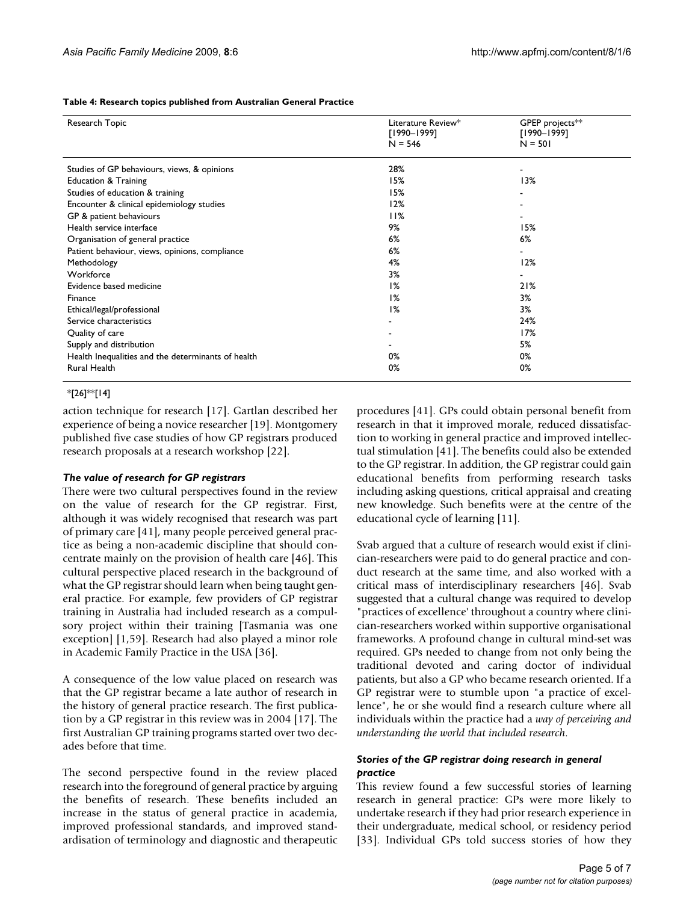**Table 4: Research topics published from Australian General Practice**

| Research Topic                                     | Literature Review*<br>$[1990 - 1999]$<br>$N = 546$ | GPEP projects**<br>$[1990 - 1999]$<br>$N = 501$ |
|----------------------------------------------------|----------------------------------------------------|-------------------------------------------------|
| Studies of GP behaviours, views, & opinions        | 28%                                                |                                                 |
| <b>Education &amp; Training</b>                    | 15%                                                | 13%                                             |
| Studies of education & training                    | 15%                                                |                                                 |
| Encounter & clinical epidemiology studies          | 12%                                                |                                                 |
| GP & patient behaviours                            | 11%                                                |                                                 |
| Health service interface                           | 9%                                                 | 15%                                             |
| Organisation of general practice                   | 6%                                                 | 6%                                              |
| Patient behaviour, views, opinions, compliance     | 6%                                                 |                                                 |
| Methodology                                        | 4%                                                 | 12%                                             |
| Workforce                                          | 3%                                                 |                                                 |
| Evidence based medicine                            | 1%                                                 | 21%                                             |
| Finance                                            | 1%                                                 | 3%                                              |
| Ethical/legal/professional                         | 1%                                                 | 3%                                              |
| Service characteristics                            |                                                    | 24%                                             |
| Quality of care                                    |                                                    | 17%                                             |
| Supply and distribution                            |                                                    | 5%                                              |
| Health Inequalities and the determinants of health | 0%                                                 | 0%                                              |
| Rural Health                                       | 0%                                                 | 0%                                              |

#### $*$ [26]\* $*$ [14]

action technique for research [17]. Gartlan described her experience of being a novice researcher [19]. Montgomery published five case studies of how GP registrars produced research proposals at a research workshop [22].

#### *The value of research for GP registrars*

There were two cultural perspectives found in the review on the value of research for the GP registrar. First, although it was widely recognised that research was part of primary care [41], many people perceived general practice as being a non-academic discipline that should concentrate mainly on the provision of health care [46]. This cultural perspective placed research in the background of what the GP registrar should learn when being taught general practice. For example, few providers of GP registrar training in Australia had included research as a compulsory project within their training [Tasmania was one exception] [1,59]. Research had also played a minor role in Academic Family Practice in the USA [36].

A consequence of the low value placed on research was that the GP registrar became a late author of research in the history of general practice research. The first publication by a GP registrar in this review was in 2004 [17]. The first Australian GP training programs started over two decades before that time.

The second perspective found in the review placed research into the foreground of general practice by arguing the benefits of research. These benefits included an increase in the status of general practice in academia, improved professional standards, and improved standardisation of terminology and diagnostic and therapeutic procedures [41]. GPs could obtain personal benefit from research in that it improved morale, reduced dissatisfaction to working in general practice and improved intellectual stimulation [41]. The benefits could also be extended to the GP registrar. In addition, the GP registrar could gain educational benefits from performing research tasks including asking questions, critical appraisal and creating new knowledge. Such benefits were at the centre of the educational cycle of learning [11].

Svab argued that a culture of research would exist if clinician-researchers were paid to do general practice and conduct research at the same time, and also worked with a critical mass of interdisciplinary researchers [46]. Svab suggested that a cultural change was required to develop "practices of excellence' throughout a country where clinician-researchers worked within supportive organisational frameworks. A profound change in cultural mind-set was required. GPs needed to change from not only being the traditional devoted and caring doctor of individual patients, but also a GP who became research oriented. If a GP registrar were to stumble upon "a practice of excellence", he or she would find a research culture where all individuals within the practice had a *way of perceiving and understanding the world that included research*.

#### *Stories of the GP registrar doing research in general practice*

This review found a few successful stories of learning research in general practice: GPs were more likely to undertake research if they had prior research experience in their undergraduate, medical school, or residency period [33]. Individual GPs told success stories of how they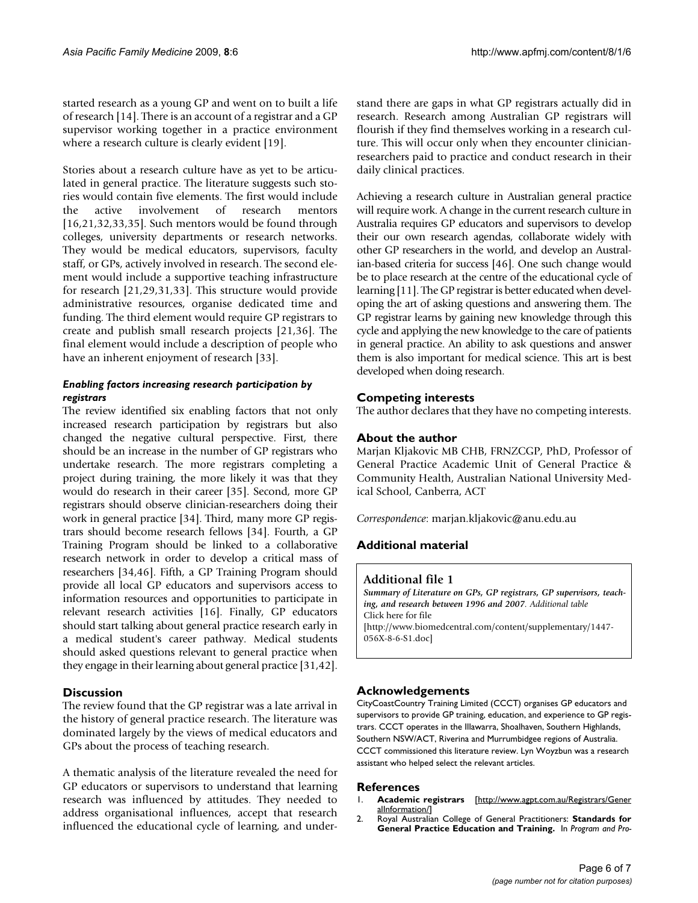started research as a young GP and went on to built a life of research [14]. There is an account of a registrar and a GP supervisor working together in a practice environment where a research culture is clearly evident [19].

Stories about a research culture have as yet to be articulated in general practice. The literature suggests such stories would contain five elements. The first would include the active involvement of research mentors [16,21,32,33,35]. Such mentors would be found through colleges, university departments or research networks. They would be medical educators, supervisors, faculty staff, or GPs, actively involved in research. The second element would include a supportive teaching infrastructure for research [21,29,31,33]. This structure would provide administrative resources, organise dedicated time and funding. The third element would require GP registrars to create and publish small research projects [21,36]. The final element would include a description of people who have an inherent enjoyment of research [33].

#### *Enabling factors increasing research participation by registrars*

The review identified six enabling factors that not only increased research participation by registrars but also changed the negative cultural perspective. First, there should be an increase in the number of GP registrars who undertake research. The more registrars completing a project during training, the more likely it was that they would do research in their career [35]. Second, more GP registrars should observe clinician-researchers doing their work in general practice [34]. Third, many more GP registrars should become research fellows [34]. Fourth, a GP Training Program should be linked to a collaborative research network in order to develop a critical mass of researchers [34,46]. Fifth, a GP Training Program should provide all local GP educators and supervisors access to information resources and opportunities to participate in relevant research activities [16]. Finally, GP educators should start talking about general practice research early in a medical student's career pathway. Medical students should asked questions relevant to general practice when they engage in their learning about general practice [31,42].

#### **Discussion**

The review found that the GP registrar was a late arrival in the history of general practice research. The literature was dominated largely by the views of medical educators and GPs about the process of teaching research.

A thematic analysis of the literature revealed the need for GP educators or supervisors to understand that learning research was influenced by attitudes. They needed to address organisational influences, accept that research influenced the educational cycle of learning, and understand there are gaps in what GP registrars actually did in research. Research among Australian GP registrars will flourish if they find themselves working in a research culture. This will occur only when they encounter clinicianresearchers paid to practice and conduct research in their daily clinical practices.

Achieving a research culture in Australian general practice will require work. A change in the current research culture in Australia requires GP educators and supervisors to develop their our own research agendas, collaborate widely with other GP researchers in the world, and develop an Australian-based criteria for success [46]. One such change would be to place research at the centre of the educational cycle of learning [11]. The GP registrar is better educated when developing the art of asking questions and answering them. The GP registrar learns by gaining new knowledge through this cycle and applying the new knowledge to the care of patients in general practice. An ability to ask questions and answer them is also important for medical science. This art is best developed when doing research.

#### **Competing interests**

The author declares that they have no competing interests.

#### **About the author**

Marjan Kljakovic MB CHB, FRNZCGP, PhD, Professor of General Practice Academic Unit of General Practice & Community Health, Australian National University Medical School, Canberra, ACT

*Correspondence*: marjan.kljakovic@anu.edu.au

### **Additional material**

#### **Additional file 1**

*Summary of Literature on GPs, GP registrars, GP supervisors, teaching, and research between 1996 and 2007. Additional table* Click here for file

[\[http://www.biomedcentral.com/content/supplementary/1447-](http://www.biomedcentral.com/content/supplementary/1447-056X-8-6-S1.doc) 056X-8-6-S1.doc]

#### **Acknowledgements**

CityCoastCountry Training Limited (CCCT) organises GP educators and supervisors to provide GP training, education, and experience to GP registrars. CCCT operates in the Illawarra, Shoalhaven, Southern Highlands, Southern NSW/ACT, Riverina and Murrumbidgee regions of Australia. CCCT commissioned this literature review. Lyn Woyzbun was a research assistant who helped select the relevant articles.

#### **References**

- 1. **Academic registrars** [\[http://www.agpt.com.au/Registrars/Gener](http://www.agpt.com.au/Registrars/GeneralInformation/) [alInformation/\]](http://www.agpt.com.au/Registrars/GeneralInformation/)
- 2. Royal Australian College of General Practitioners: **Standards for General Practice Education and Training.** In *Program and Pro-*